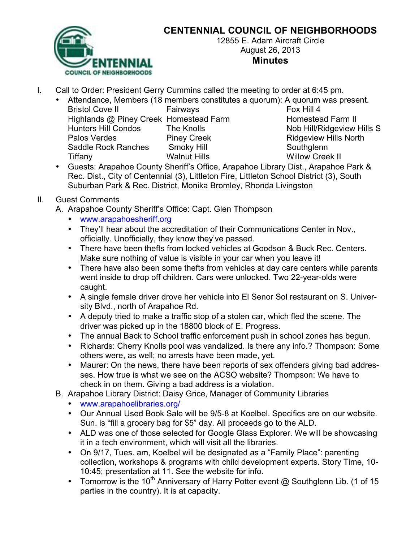

## **CENTENNIAL COUNCIL OF NEIGHBORHOODS**

12855 E. Adam Aircraft Circle August 26, 2013 **Minutes**

- I. Call to Order: President Gerry Cummins called the meeting to order at 6:45 pm.
	- Attendance, Members (18 members constitutes a quorum): A quorum was present.
		- Bristol Cove II Fairways Fox Hill 4 Highlands @ Piney Creek Homestead Farm Homestead Farm II Hunters Hill Condos The Knolls Nob Hill/Ridgeview Hills S Palos Verdes **Piney Creek Piney Creek** Ridgeview Hills North Saddle Rock Ranches Smoky Hill Southglenn Tiffany Walnut Hills Willow Creek II

- Guests: Arapahoe County Sheriff's Office, Arapahoe Library Dist., Arapahoe Park & Rec. Dist., City of Centennial (3), Littleton Fire, Littleton School District (3), South Suburban Park & Rec. District, Monika Bromley, Rhonda Livingston
- II. Guest Comments
	- A. Arapahoe County Sheriff's Office: Capt. Glen Thompson
		- www.arapahoesheriff.org
		- They'll hear about the accreditation of their Communications Center in Nov., officially. Unofficially, they know they've passed.
		- There have been thefts from locked vehicles at Goodson & Buck Rec. Centers. Make sure nothing of value is visible in your car when you leave it!
		- There have also been some thefts from vehicles at day care centers while parents went inside to drop off children. Cars were unlocked. Two 22-year-olds were caught.
		- A single female driver drove her vehicle into El Senor Sol restaurant on S. University Blvd., north of Arapahoe Rd.
		- A deputy tried to make a traffic stop of a stolen car, which fled the scene. The driver was picked up in the 18800 block of E. Progress.
		- The annual Back to School traffic enforcement push in school zones has begun.
		- Richards: Cherry Knolls pool was vandalized. Is there any info.? Thompson: Some others were, as well; no arrests have been made, yet.
		- Maurer: On the news, there have been reports of sex offenders giving bad addresses. How true is what we see on the ACSO website? Thompson: We have to check in on them. Giving a bad address is a violation.
	- B. Arapahoe Library District: Daisy Grice, Manager of Community Libraries
		- www.arapahoelibraries.org/
		- Our Annual Used Book Sale will be 9/5-8 at Koelbel. Specifics are on our website. Sun. is "fill a grocery bag for \$5" day. All proceeds go to the ALD.
		- ALD was one of those selected for Google Glass Explorer. We will be showcasing it in a tech environment, which will visit all the libraries.
		- On 9/17, Tues. am, Koelbel will be designated as a "Family Place": parenting collection, workshops & programs with child development experts. Story Time, 10- 10:45; presentation at 11. See the website for info.
		- Tomorrow is the 10<sup>th</sup> Anniversary of Harry Potter event @ Southglenn Lib. (1 of 15 parties in the country). It is at capacity.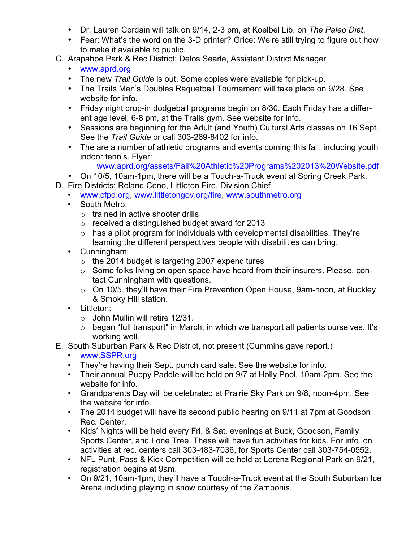- Dr. Lauren Cordain will talk on 9/14, 2-3 pm, at Koelbel Lib. on *The Paleo Diet*.
- Fear: What's the word on the 3-D printer? Grice: We're still trying to figure out how to make it available to public.
- C. Arapahoe Park & Rec District: Delos Searle, Assistant District Manager
	- www.aprd.org
	- The new *Trail Guide* is out. Some copies were available for pick-up.
	- The Trails Men's Doubles Raquetball Tournament will take place on 9/28. See website for info.
	- Friday night drop-in dodgeball programs begin on 8/30. Each Friday has a different age level, 6-8 pm, at the Trails gym. See website for info.
	- Sessions are beginning for the Adult (and Youth) Cultural Arts classes on 16 Sept. See the *Trail Guide* or call 303-269-8402 for info.
	- The are a number of athletic programs and events coming this fall, including youth indoor tennis. Flyer:
		- www.aprd.org/assets/Fall%20Athletic%20Programs%202013%20Website.pdf
	- On 10/5, 10am-1pm, there will be a Touch-a-Truck event at Spring Creek Park.
- D. Fire Districts: Roland Ceno, Littleton Fire, Division Chief
	- www.cfpd.org, www.littletongov.org/fire, www.southmetro.org
	- South Metro:
		- $\circ$  trained in active shooter drills
		- o received a distinguished budget award for 2013
		- $\circ$  has a pilot program for individuals with developmental disabilities. They're learning the different perspectives people with disabilities can bring.
	- Cunningham:
		- $\circ$  the 2014 budget is targeting 2007 expenditures
		- o Some folks living on open space have heard from their insurers. Please, contact Cunningham with questions.
		- o On 10/5, they'll have their Fire Prevention Open House, 9am-noon, at Buckley & Smoky Hill station.
	- Littleton:
		- $\circ$  John Mullin will retire 12/31.
		- o began "full transport" in March, in which we transport all patients ourselves. It's working well.
- E. South Suburban Park & Rec District, not present (Cummins gave report.)
	- www.SSPR.org
	- They're having their Sept. punch card sale. See the website for info.
	- Their annual Puppy Paddle will be held on 9/7 at Holly Pool, 10am-2pm. See the website for info.
	- Grandparents Day will be celebrated at Prairie Sky Park on 9/8, noon-4pm. See the website for info.
	- The 2014 budget will have its second public hearing on 9/11 at 7pm at Goodson Rec. Center.
	- Kids' Nights will be held every Fri. & Sat. evenings at Buck, Goodson, Family Sports Center, and Lone Tree. These will have fun activities for kids. For info. on activities at rec. centers call 303-483-7036, for Sports Center call 303-754-0552.
	- NFL Punt, Pass & Kick Competition will be held at Lorenz Regional Park on 9/21, registration begins at 9am.
	- On 9/21, 10am-1pm, they'll have a Touch-a-Truck event at the South Suburban Ice Arena including playing in snow courtesy of the Zambonis.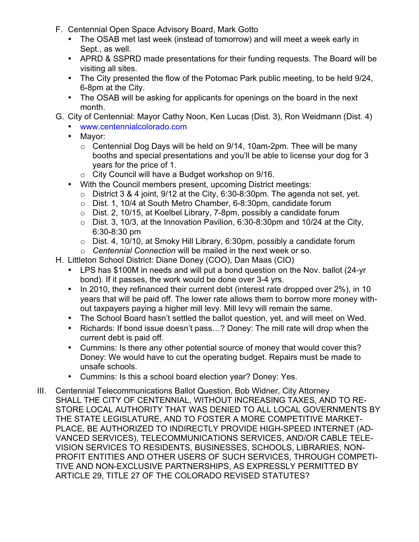- F. Centennial Open Space Advisory Board, Mark Gotto
	- The OSAB met last week (instead of tomorrow) and will meet a week early in Sept., as well.
	- APRD & SSPRD made presentations for their funding requests. The Board will be visiting all sites.
	- The City presented the flow of the Potomac Park public meeting, to be held 9/24, 6-8pm at the City.
	- The OSAB will be asking for applicants for openings on the board in the next month.
- G. City of Centennial: Mayor Cathy Noon, Ken Lucas (Dist. 3), Ron Weidmann (Dist. 4)
	- www.centennialcolorado.com
	- Mayor:
		- $\circ$  Centennial Dog Days will be held on 9/14, 10am-2pm. Thee will be many booths and special presentations and you'll be able to license your dog for 3 years for the price of 1.
		- o City Council will have a Budget workshop on 9/16.
	- With the Council members present, upcoming District meetings:
		- $\circ$  District 3 & 4 joint, 9/12 at the City, 6:30-8:30pm. The agenda not set, yet.
		- o Dist. 1, 10/4 at South Metro Chamber, 6-8:30pm, candidate forum
		- o Dist. 2, 10/15, at Koelbel Library, 7-8pm, possibly a candidate forum
		- $\circ$  Dist. 3, 10/3, at the Innovation Pavilion, 6:30-8:30pm and 10/24 at the City, 6:30-8:30 pm
		- o Dist. 4, 10/10, at Smoky Hill Library, 6:30pm, possibly a candidate forum
		- o *Centennial Connection* will be mailed in the next week or so.
- H. Littleton School District: Diane Doney (COO), Dan Maas (CIO)
	- LPS has \$100M in needs and will put a bond question on the Nov. ballot (24-yr bond). If it passes, the work would be done over 3-4 yrs.
	- In 2010, they refinanced their current debt (interest rate dropped over 2%), in 10 years that will be paid off. The lower rate allows them to borrow more money without taxpayers paying a higher mill levy. Mill levy will remain the same.
	- The School Board hasn't settled the ballot question, yet, and will meet on Wed.
	- Richards: If bond issue doesn't pass...? Doney: The mill rate will drop when the current debt is paid off.
	- Cummins: Is there any other potential source of money that would cover this? Doney: We would have to cut the operating budget. Repairs must be made to unsafe schools.
	- Cummins: Is this a school board election year? Doney: Yes.
- III. Centennial Telecommunications Ballot Question, Bob Widner, City Attorney SHALL THE CITY OF CENTENNIAL, WITHOUT INCREASING TAXES, AND TO RE-STORE LOCAL AUTHORITY THAT WAS DENIED TO ALL LOCAL GOVERNMENTS BY THE STATE LEGISLATURE, AND TO FOSTER A MORE COMPETITIVE MARKET-PLACE, BE AUTHORIZED TO INDIRECTLY PROVIDE HIGH-SPEED INTERNET (AD-VANCED SERVICES), TELECOMMUNICATIONS SERVICES, AND/OR CABLE TELE-VISION SERVICES TO RESIDENTS, BUSINESSES, SCHOOLS, LIBRARIES, NON-PROFIT ENTITIES AND OTHER USERS OF SUCH SERVICES, THROUGH COMPETI-TIVE AND NON-EXCLUSIVE PARTNERSHIPS, AS EXPRESSLY PERMITTED BY ARTICLE 29, TITLE 27 OF THE COLORADO REVISED STATUTES?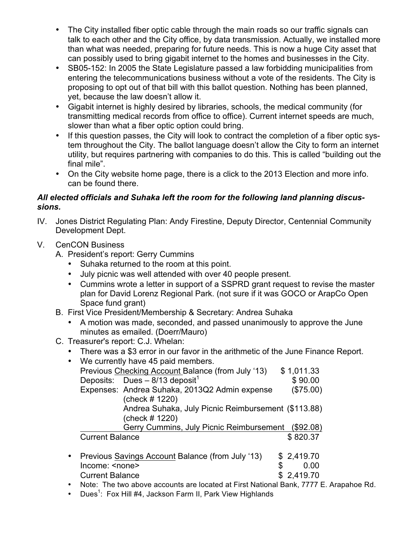- The City installed fiber optic cable through the main roads so our traffic signals can talk to each other and the City office, by data transmission. Actually, we installed more than what was needed, preparing for future needs. This is now a huge City asset that can possibly used to bring gigabit internet to the homes and businesses in the City.
- SB05-152: In 2005 the State Legislature passed a law forbidding municipalities from entering the telecommunications business without a vote of the residents. The City is proposing to opt out of that bill with this ballot question. Nothing has been planned, yet, because the law doesn't allow it.
- Gigabit internet is highly desired by libraries, schools, the medical community (for transmitting medical records from office to office). Current internet speeds are much, slower than what a fiber optic option could bring.
- If this question passes, the City will look to contract the completion of a fiber optic system throughout the City. The ballot language doesn't allow the City to form an internet utility, but requires partnering with companies to do this. This is called "building out the final mile".
- On the City website home page, there is a click to the 2013 Election and more info. can be found there.

## *All elected officials and Suhaka left the room for the following land planning discussions.*

- IV. Jones District Regulating Plan: Andy Firestine, Deputy Director, Centennial Community Development Dept.
- V. CenCON Business
	- A. President's report: Gerry Cummins
		- Suhaka returned to the room at this point.
		- July picnic was well attended with over 40 people present.
		- Cummins wrote a letter in support of a SSPRD grant request to revise the master plan for David Lorenz Regional Park. (not sure if it was GOCO or ArapCo Open Space fund grant)
	- B. First Vice President/Membership & Secretary: Andrea Suhaka
		- A motion was made, seconded, and passed unanimously to approve the June minutes as emailed. (Doerr/Mauro)
	- C. Treasurer's report: C.J. Whelan:
		- There was a \$3 error in our favor in the arithmetic of the June Finance Report.

| $\bullet$ | We currently have 45 paid members.                  |    |            |
|-----------|-----------------------------------------------------|----|------------|
|           | Previous Checking Account Balance (from July '13)   |    | \$1,011.33 |
|           | Deposits: Dues $-8/13$ deposit <sup>1</sup>         |    | \$90.00    |
|           | Expenses: Andrea Suhaka, 2013Q2 Admin expense       |    | (\$75.00)  |
|           | (check # 1220)                                      |    |            |
|           | Andrea Suhaka, July Picnic Reimbursement (\$113.88) |    |            |
|           | (check # 1220)                                      |    |            |
|           | Gerry Cummins, July Picnic Reimbursement            |    | (\$92.08)  |
|           | <b>Current Balance</b>                              |    | \$820.37   |
| $\bullet$ | Previous Savings Account Balance (from July '13)    |    | \$2,419.70 |
|           |                                                     |    |            |
|           | Income: <none></none>                               | \$ | 0.00       |
|           | <b>Current Balance</b>                              |    | 2,419.70   |

- Note: The two above accounts are located at First National Bank, 7777 E. Arapahoe Rd.
- Dues<sup>1</sup>: Fox Hill #4, Jackson Farm II, Park View Highlands